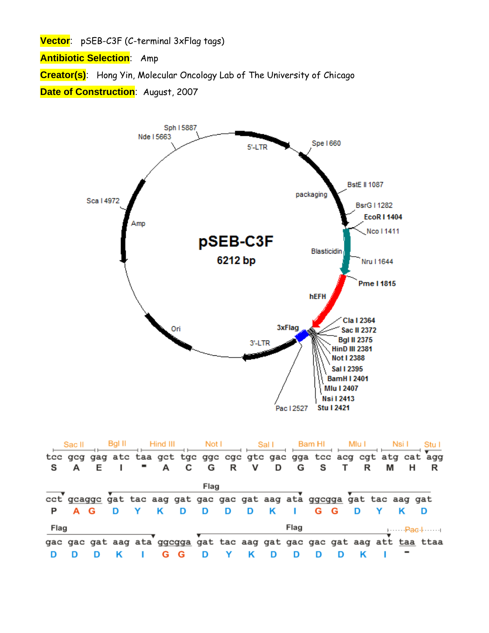**Vector**: pSEB-C3F (C-terminal 3xFlag tags)

**Antibiotic Selection**: Amp

**Creator(s)**: Hong Yin, Molecular Oncology Lab of The University of Chicago

**Date of Construction**: August, 2007



|      | Sac II |  |   |   | Not I |   |   | Sal I |      | Bam HI                                                                |     |   |   |                                                                         |
|------|--------|--|---|---|-------|---|---|-------|------|-----------------------------------------------------------------------|-----|---|---|-------------------------------------------------------------------------|
|      |        |  |   |   |       |   |   |       |      |                                                                       |     |   |   | tcc gcg gag atc taa gct tgc ggc cgc gtc gac gga tcc acg cgt atg cat agg |
|      |        |  | А | C | G     | R | v | D     | G    | <b>s</b>                                                              |     | R | м |                                                                         |
|      |        |  |   |   | Flag  |   |   |       |      |                                                                       |     |   |   |                                                                         |
|      |        |  |   |   |       |   |   |       |      | cct gcaggc gat tac aag gat gac gac gat aag ata ggcgga gat tac aag gat |     |   |   |                                                                         |
|      |        |  |   |   | D     | D | D | K     |      | G                                                                     | - G | D |   |                                                                         |
| Flag |        |  |   |   |       |   |   |       | Flag |                                                                       |     |   |   | ⊦……Pas⊹……⊥                                                              |
|      |        |  |   |   |       |   |   |       |      |                                                                       |     |   |   | gac gac gat aag ata ggcgga gat tac aag gat gac gac gat aag att taa ttaa |
|      |        |  |   | G |       |   |   |       |      |                                                                       |     |   |   |                                                                         |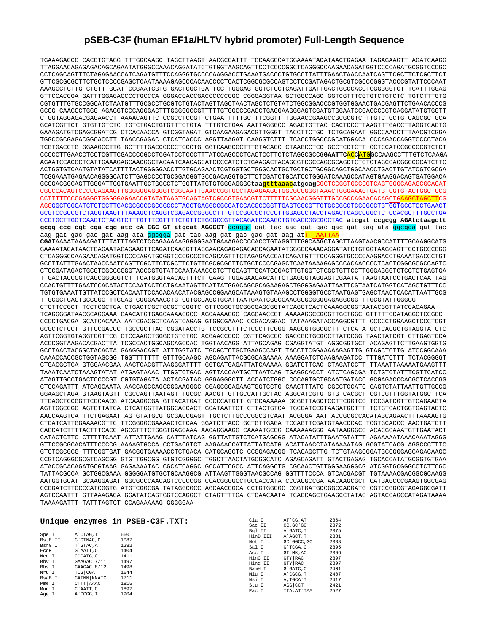## **pSEB-C3F (human EF1a/HLTV hybrid promoter) Full-Length Sequence**

TGAAAGACCC CACCTGTAGG TTTGGCAAGC TAGCTTAAGT AACGCCATTT TGCAAGGCATGGAAAATACATAACTGAGAA TAGAGAAGTT AGATCAAGG TTAGGAACAGAGAGACAGCAGAATATGGGCCAAACAGGATATCTGTGGTAAGCAGTTCCTCCCCGGCTCAGGGCCAAGAACAGATGGTCCCCAGATGCGGTCCCGC CCTCAGCAGTTTCTAGAGAACCATCAGATGTTTCCAGGGTGCCCCAAGGACCTGAAATGACCCTGTGCCTTATTTGAACTAACCAATCAGTTCGCTTCTCGCTTCT GTTCGCGCGCTTCTGCTCCCCGAGCTCAATAAAAGAGCCCACAACCCCTCACTCGGCGCGCCAGTCCTCCGATAGACTGCGTCGCCCGGGTACCCGTATTCCCAAT AAAGCCTCTTG CTGTTTGCAT CCGAATCGTG GACTCGCTGA TCCTTGGGAG GGTCTCCTCAGATTGATTGACTGCCCACCTCGGGGGTCTTTCATTTGGAG GTTCCACCGA GATTTGGAGACCCCTGCCCA GGGACCACCGACCCCCCCGC CGGGAGGTAA GCTGGCCAGC GGTCGTTTCGTGTCTGTCTC TGTCTTTGTG CGTGTTTGTGCCGGCATCTAATGTTTGCGCCTGCGTCTGTACTAGTTAGCTAACTAGCTCTGTATCTGGCGGACCCGTGGTGGAACTGACGAGTTCTGAACACCCG GCCG CAACCCTGGG AGACGTCCCAGGGACTTTGGGGGCCGTTTTTGTGGCCCGACCTGAGGAAGGGAGTCGATGTGGAATCCGACCCCGTCAGGATATGTGGTT CTGGTAGGAGACGAGAACCT AAAACAGTTC CCGCCTCCGT CTGAATTTTTGCTTTCGGTT TGGAACCGAAGCCGCGCGTC TTGTCTGCTG CAGCGCTGCA GCATCGTTCT GTGTTGTCTC TGTCTGACTGTGTTTCTGTA TTTGTCTGAA AATTAGGGCC AGACTGTTAC CACTCCCTTAAGTTTGACCTTAGGTCACTG GAAAGATGTCGAGCGGATCG CTCACAACCA GTCGGTAGAT GTCAAGAAGAGACGTTGGGT TACCTTCTGC TCTGCAGAAT GGCCAACCTTTAACGTCGGA TGGCCGCGAGACGGCACCTT TAACCGAGAC CTCATCACCC AGGTTAAGAT CAAGGTCTTT TCACCTGGCCCGCATGGACA CCCAGACCAGGTCCCCTACA TCGTGACCTG GGAAGCCTTG GCTTTTGACCCCCCTCCCTG GGTCAAGCCCTTTGTACACC CTAAGCCTCC GCCTCCTCTT CCTCCATCCGCCCCGTCTCT CCCCCTTGAACCTCCTCGTTCGACCCCGCCTCGATCCTCCCTTTATCCAGCCCTCACTCCTTCTCTAGGCGCCG**GAATTC**ACCATGGCCAAGCCTTTGTCTCAAGA AGAATCCACCCTCATTGAAAGAGCAACGGCTACAATCAACAGCATCCCCATCTCTGAAGACTACAGCGTCGCCAGCGCAGCTCTCTCTAGCGACGGCCGCATCTTC ACTGGTGTCAATGTATATCATTTTACTGGGGGACCTTGTGCAGAACTCGTGGTGCTGGGCACTGCTGCTGCTGCGGCAGCTGGCAACCTGACTTGTATCGTCGCGA TCGGAAATGAGAACAGGGGCATCTTGAGCCCCTGCGGACGGTGCCGACAGGTGCTTCTCGATCTGCATCCTGGGATCAAAGCCATAGTGAAGGACAGTGATGGACA GCCGACGGCAGTTGGGATTCGTGAATTGCTGCCCTCTGGTTATGTGTGGGAGGGCtaa**gtttaaacatgcag**CGCTCCGGTGCCCGTCAGTGGGCAGAGCGCACAT CGCCCACAGTCCCCGAGAAGTTGGGGGGAGGGGTCGGCAATTGAACCGGTGCCTAGAGAAGGTGGCGCGGGGTAAACTGGGAAAGTGATGTCGTGTACTGGCTCCG CCTTTTTCCCGAGGGTGGGGGAGAACCGTATATAAGTGCAGTAGTCGCCGTGAACGTTCTTTTTCGCAACGGGTTTGCCGCCAGAACACAGCTGAAGCTAGCTTCG AGGGGCTCGCATCTCTCCTTCACGCGCCCGCCGCCCTACCTGAGGCCGCCATCCACGCCGGTTGAGTCGCGTTCTGCCGCCTCCCGCCTGTGGTGCCTCCTGAACT GCGTCCGCCGTCTAGGTAAGTTTAAAGCTCAGGTCGAGACCGGGCCTTTGTCCGGCGCTCCCTTGGAGCCTACCTAGACTCAGCCGGCTCTCCACGCTTTGCCTGA CCCTGCTTGCTCAACTCTACGTCTTTGTTTCGTTTTCTGTTCTGCGCCGTTACAGATCCAAGCTGTGACCGGCGCCTAC **atcgat ccgcgg AGAtctaagctt gcgg ccg cgt cga cgg atc cA CGC GT atgcat AGGCCT** gcaggc gat tac aag gat gac gac gat aag ata ggcgga gat tac aag gat gac gac gat aag ata ggcgga gat tac aag gat gac gac gat aag at TRAATTAA **CGAT**AAAATAAAAGATTTTATTTAGTCTCCAGAAAAAGGGGGGAATGAAAGACCCCACCTGTAGGTTTGGCAAGCTAGCTTAAGTAACGCCATTTTGCAAGGCATG GAAAATACATAACTGAGAATAGAGAAGTTCAGATCAAGGTTAGGAACAGAGAGACAGCAGAATATGGGCCAAACAGGATATCTGTGGTAAGCAGTTCCTGCCCCGG CTCAGGGCCAAGAACAGATGGTCCCCAGATGCGGTCCCGCCCTCAGCAGTTTCTAGAGAACCATCAGATGTTTCCAGGGTGCCCCAAGGACCTGAAATGACCCTGT GCCTTATTTGAACTAACCAATCAGTTCGCTTCTCGCTTCTGTTCGCGCGCTTCTGCTCCCCGAGCTCAATAAAAGAGCCCACAACCCCTCACTCGGCGCGCCAGTC CTCCGATAGACTGCGTCGCCCGGGTACCCGTGTATCCAATAAACCCTCTTGCAGTTGCATCCGACTTGTGGTCTCGCTGTTCCTTGGGAGGGTCTCCTCTGAGTGA TTGACTACCCGTCAGCGGGGGTCTTTCATGGGTAACAGTTTCTTGAAGTTGGAGAACAACATTCTGAGGGTAGGAGTCGAATATTAAGTAATCCTGACTCAATTAG CCACTGTTTTGAATCCACATACTCCAATACTCCTGAAATAGTTCATTATGGACAGCGCAGAAGAGCTGGGGAGAATTAATTCGTAATCATGGTCATAGCTGTTTCC TGTGTGAAATTGTTATCCGCTCACAATTCCACACAACATACGAGCCGGAAGCATAAAGTGTAAAGCCTGGGGTGCCTAATGAGTGAGCTAACTCACATTAATTGCG TTGCGCTCACTGCCCGCTTTCCAGTCGGGAAACCTGTCGTGCCAGCTGCATTAATGAATCGGCCAACGCGCGGGGAGAGGCGGTTTGCGTATTGGGCG CTCTTCCGCT TCCTCGCTCA CTGACTCGCTGCGCTCGGTC GTTCGGCTGCGGCGAGCGGTATCAGCTCACTCAAAGGCGGTAATACGGTTATCCACAGAA TCAGGGGATAACGCAGGAAA GAACATGTGAGCAAAAGGCC AGCAAAAGGC CAGGAACCGT AAAAAGGCCGCGTTGCTGGC GTTTTTCCATAGGCTCCGCC CCCCTGACGA GCATCACAAA AATCGACGCTCAAGTCAGAG GTGGCGAAAC CCGACAGGAC TATAAAGATACCAGGCGTTT CCCCCTGGAAGCTCCCTCGT GCGCTCTCCT GTTCCGACCC TGCCGCTTAC CGGATACCTG TCCGCCTTTCTCCCTTCGGG AAGCGTGGCGCTTTCTCATA GCTCACGCTGTAGGTATCTC AGTTCGGTGTAGGTCGTTCG CTCCAAGCTGGGCTGTGTGC ACGAACCCCC CGTTCAGCCC GACCGCTGCGCCTTATCCGG TAACTATCGT CTTGAGTCCA ACCCGGTAAGACACGACTTA TCGCCACTGGCAGCAGCCAC TGGTAACAGG ATTAGCAGAG CGAGGTATGT AGGCGGTGCT ACAGAGTTCTTGAAGTGGTG GCCTAACTACGGCTACACTA GAAGGACAGT ATTTGGTATC TGCGCTCTGCTGAAGCCAGT TACCTTCGGAAAAAGAGTTG GTAGCTCTTG ATCCGGCAAA CAAACCACCGCTGGTAGCGG TGGTTTTTTT GTTTGCAAGC AGCAGATTACGCGCAGAAAA AAAGGATCTCAAGAAGATCC TTTGATCTTT TCTACGGGGT CTGACGCTCA GTGGAACGAA AACTCACGTTAAGGGATTTT GGTCATGAGATTATCAAAAA GGATCTTCAC CTAGATCCTT TTAAATTAAAAATGAAGTTT TAAATCAATCTAAAGTATAT ATGAGTAAAC TTGGTCTGAC AGTTACCAATGCTTAATCAG TGAGGCACCT ATCTCAGCGA TCTGTCTATTTCGTTCATCC ATAGTTGCCTGACTCCCCGT CGTGTAGATA ACTACGATAC GGGAGGGCTT ACCATCTGGC CCCAGTGCTGCAATGATACC GCGAGACCCACGCTCACCGG CTCCAGATTT ATCAGCAATA AACCAGCCAGCCGGAAGGGC CGAGCGCAGAAGTGGTCCTG CAACTTTATC CGCCTCCATC CAGTCTATTAATTGTTGCCG GGAAGCTAGA GTAAGTAGTT CGCCAGTTAATAGTTTGCGC AACGTTGTTGCCATTGCTAC AGGCATCGTG GTGTCACGCT CGTCGTTTGGTATGGCTTCA TTCAGCTCCGGTTCCCAACG ATCAAGGCGA GTTACATGAT CCCCCATGTT GTGCAAAAAA GCGGTTAGCTCCTTCGGTCC TCCGATCGTTGTCAGAAGTA AGTTGGCCGC AGTGTTATCA CTCATGGTTATGGCAGCACT GCATAATTCT CTTACTGTCA TGCCATCCGTAAGATGCTTT TCTGTGACTGGTGAGTACTC AACCAAGTCA TTCTGAGAAT AGTGTATGCG GCGACCGAGT TGCTCTTGCCCGGCGTCAAT ACGGGATAAT ACCGCGCCACATAGCAGAACTTTAAAAGTG CTCATCATTGGAAAACGTTC TTCGGGGCGAAAACTCTCAA GGATCTTACC GCTGTTGAGA TCCAGTTCGATGTAACCCAC TCGTGCACCC AACTGATCTT CAGCATCTTTTACTTTCACC AGCGTTTCTGGGTGAGCAAA AACAGGAAGG CAAAATGCCG CAAAAAAGGG AATAAGGGCG ACACGGAAATGTTGAATACT CATACTCTTC CTTTTTCAAT ATTATTGAAG CATTTATCAG GGTTATTGTCTCATGAGCGG ATACATATTTGAATGTATTT AGAAAAATAAACAAATAGGG GTTCCGCGCACATTTCCCCG AAAAGTGCCA CCTGACGTCT AAGAAACCATTATTATCATG ACATTAACCTATAAAAATAG GCGTATCACG AGGCCCTTTC GTCTCGCGCG TTTCGGTGAT GACGGTGAAAACCTCTGACA CATGCAGCTC CCGGAGACGG TCACAGCTTG TCTGTAAGCGGATGCCGGGAGCAGACAAGC CCGTCAGGGCGCGTCAGCGG GTGTTGGCGG GTGTCGGGGC TGGCTTAACTATGCGGCATC AGAGCAGATT GTACTGAGAG TGCACCATATGCGGTGTGAA ATACCGCACAGATGCGTAAG GAGAAAATAC CGCATCAGGC GCCATTCGCC ATTCAGGCTG CGCAACTGTTGGGAAGGGCG ATCGGTGCGGGCCTCTTCGC TATTACGCCA GCTGGCGAAA GGGGGATGTGCTGCAAGGCG ATTAAGTTGGGTAACGCCAG GGTTTTCCCA GTCACGACGT TGTAAAACGACGGCGCAAGG AATGGTGCAT GCAAGGAGAT GGCGCCCAACAGTCCCCCGG CCACGGGGCCTGCCACCATA CCCACGCCGA AACAAGCGCT CATGAGCCCGAAGTGGCGAG CCCGATCTTCCCCATCGGTG ATGTCGGCGA TATAGGCGCC AGCAACCGCA CCTGTGGCGC CGGTGATGCCGGCCACGATG CGTCCGGCGTAGAGGCGATT AGTCCAATTT GTTAAAGACA GGATATCAGTGGTCCAGGCT CTAGTTTTGA CTCAACAATA TCACCAGCTGAAGCCTATAG AGTACGAGCCATAGATAAAA TAAAAGATTT TATTTAGTCT CCAGAAAAAG GGGGGAA

|                                                                                                       |                                                                                                                                                    | Unique enzymes in PSEB-C3F.TXT:                                                     | Cla I<br>Sac II<br>Bgl II                                                                      | AT CG. AT<br>CC.GC'GG<br>A GATC. T                                                                                      | 2364<br>2372<br>2375                                                         |
|-------------------------------------------------------------------------------------------------------|----------------------------------------------------------------------------------------------------------------------------------------------------|-------------------------------------------------------------------------------------|------------------------------------------------------------------------------------------------|-------------------------------------------------------------------------------------------------------------------------|------------------------------------------------------------------------------|
| Spe I<br>BstE II<br>BsrG I<br>ECOR I<br>Nco I<br>Bby II<br>Bbs I<br>Nru I<br>BsaB I<br>Pme I<br>Mun I | A CTAG.T<br>G`GTNAC.C<br>T`GTAC.A<br>G`AATT.C<br>$C$ $CATG$ , $G$<br>GAAGAC 7/11<br>GAAGAC 8/12<br>TCG CGA<br>GATNN NNATC<br>CTTT AAAC<br>C`AATT.G | 660<br>1087<br>1282<br>1404<br>1411<br>1497<br>1498<br>1644<br>1711<br>1815<br>1897 | HinD III<br>Not I<br>Sal I<br>Acc I<br>HinC II<br>Hind II<br>BamH I<br>Mlu I<br>Nsi I<br>Stu I | A AGCT.T<br>GC `GGCC, GC<br>G`TCGA.C<br>GT MK, AC<br>GTY RAC<br>GTY RAC<br>G`GATC.C<br>A CGCG.T<br>A. TGCA'T<br>AGG CCT | 2381<br>2388<br>2395<br>2396<br>2397<br>2397<br>2401<br>2407<br>2417<br>2421 |
| Age I                                                                                                 | A CCGG.T                                                                                                                                           | 1904                                                                                | Pac I                                                                                          | TTA, AT`TAA                                                                                                             | 2527                                                                         |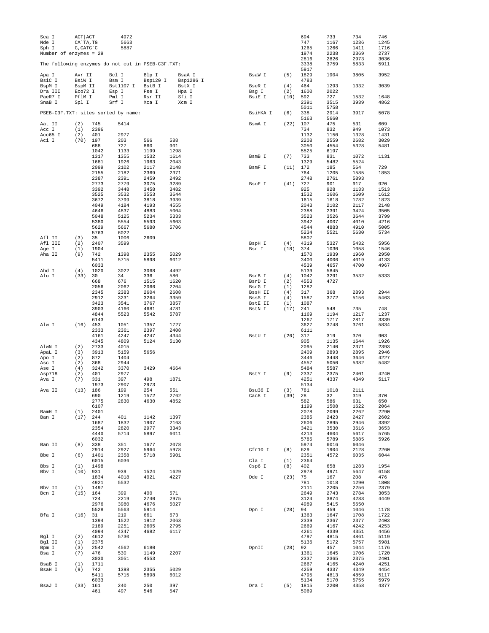| Sca I<br>Nde I<br>Sph I<br>Number of enzymes = 29 | AGT ACT<br>CA`TA, TG<br>G, CATG C |              | 4972<br>5663<br>5887                              |                    |                     |                   |             | 694<br>747<br>1265<br>1974 | 733<br>1167<br>1266<br>2238 | 734<br>1236<br>1411<br>2369 | 746<br>1245<br>1716<br>2737 |
|---------------------------------------------------|-----------------------------------|--------------|---------------------------------------------------|--------------------|---------------------|-------------------|-------------|----------------------------|-----------------------------|-----------------------------|-----------------------------|
|                                                   |                                   |              | The following enzymes do not cut in PSEB-C3F.TXT: |                    |                     |                   |             | 2816<br>3338               | 2826<br>3759                | 2973<br>5833                | 3036<br>5911                |
| Apa I                                             | Avr II<br>BsiW I                  |              | Bcl I<br>Bsm I                                    | Blp I              | BsaA I              | BsaW I            | (5)         | 5917<br>1829               | 1904                        | 3805                        | 3952                        |
| BsiC I<br>BspM I                                  | BspM II                           |              | Bst1107 I                                         | Bsp120 I<br>BstB I | Bsp1286 I<br>BstX I | BseR I            | (4)         | 4783<br>464                | 1293                        | 1332                        | 3039                        |
| Dra III<br>PaeR7 I                                | Eco72 I<br>PflM I                 |              | Esp I<br>Pml I                                    | Fse I<br>Rsr II    | Hpa I<br>Sfi I      | Bsg I<br>BsiE I   | (2)<br>(10) | 1600<br>592                | 2022<br>727                 | 1532                        | 1648                        |
| SnaB I                                            | Spl I                             |              | Srf I                                             | Xca I              | Xcm I               |                   |             | 2391                       | 3515                        | 3939                        | 4862                        |
|                                                   |                                   |              | PSEB-C3F.TXT: sites sorted by name:               |                    |                     | BsiHKA I          | (6)         | 5011<br>338<br>5163        | 5758<br>2914<br>5660        | 3917                        | 5078                        |
| Aat II                                            | (2)                               | 745          | 5414                                              |                    |                     | BsmA I            | (22)        | 107                        | 475                         | 531                         | 609                         |
| Acc I<br>Acc65 I                                  | (1)<br>(2)                        | 2396<br>401  | 2977                                              |                    |                     |                   |             | 734<br>1132                | 832<br>1150                 | 949<br>1328                 | 1073<br>1431                |
| Aci I                                             | (70)                              | 197          | 203                                               | 566                | 588                 |                   |             | 2208                       | 2559                        | 2682                        | 3029                        |
|                                                   |                                   | 688<br>1042  | 727<br>1133                                       | 860<br>1199        | 901<br>1298         |                   |             | 3050<br>5525               | 4554<br>6197                | 5328                        | 5481                        |
|                                                   |                                   | 1317         | 1355                                              | 1532               | 1614                | BsmB I            | (7)         | 733                        | 831                         | 1072                        | 1131                        |
|                                                   |                                   | 1681<br>2099 | 1926<br>2102                                      | 1963<br>2117       | 2043<br>2148        | BsmF I            | (11)        | 1329<br>172                | 5482<br>185                 | 5524<br>564                 | 729                         |
|                                                   |                                   | 2155         | 2182                                              | 2369               | 2371                |                   |             | 764                        | 1205                        | 1585                        | 1853                        |
|                                                   |                                   | 2387<br>2773 | 2391<br>2779                                      | 2459<br>3075       | 2492<br>3289        | BsoF I            | (41)        | 2748<br>727                | 2761<br>901                 | 5893<br>917                 | 920                         |
|                                                   |                                   | 3392         | 3448                                              | 3458               | 3482                |                   |             | 925                        | 928                         | 1133                        | 1513                        |
|                                                   |                                   | 3525<br>3672 | 3532<br>3799                                      | 3553<br>3818       | 3644<br>3939        |                   |             | 1532<br>1615               | 1606<br>1618                | 1609<br>1782                | 1612<br>1823                |
|                                                   |                                   | 4049         | 4184                                              | 4193               | 4555                |                   |             | 2043                       | 2102                        | 2117                        | 2148                        |
|                                                   |                                   | 4646<br>5048 | 4837<br>5125                                      | 4883<br>5234       | 5004<br>5333        |                   |             | 2388<br>3523               | 2391<br>3526                | 3424<br>3644                | 3505<br>3799                |
|                                                   |                                   | 5380         | 5554                                              | 5593               | 5603                |                   |             | 3942                       | 4007                        | 4010                        | 4216                        |
|                                                   |                                   | 5629<br>5763 | 5667<br>6022                                      | 5680               | 5706                |                   |             | 4544<br>5234               | 4883<br>5521                | 4910<br>5630                | 5005<br>5734                |
| Afl II                                            | (3)                               | 35           | 1006                                              | 2609               |                     |                   |             | 5807                       |                             |                             |                             |
| Afl III<br>Age I                                  | (2)<br>(1)                        | 2407<br>1904 | 3599                                              |                    |                     | BspH I<br>Bsr I   | (4)<br>(18) | 4319<br>374                | 5327<br>1030                | 5432<br>1058                | 5956<br>1546                |
| Aha II                                            | (9)                               | 742          | 1398                                              | 2355               | 5029                |                   |             | 1570                       | 1939                        | 1960                        | 2950                        |
|                                                   |                                   | 5411<br>6033 | 5715                                              | 5898               | 6012                |                   |             | 3400<br>4539               | 4006<br>4657                | 4019<br>4700                | 4133<br>4967                |
| Ahd I                                             | (4)                               | 1020         | 3022                                              | 3068               | 4492                |                   |             | 5139                       | 5845                        |                             |                             |
| Alu I                                             | (33)                              | 30           | 34                                                | 336                | 580                 | BsrB I            | (4)         | 1042                       | 3291                        | 3532                        | 5333                        |
|                                                   |                                   | 668<br>2056  | 676<br>2062                                       | 1515<br>2066       | 1620<br>2204        | BsrD I<br>BsrG I  | (2)<br>(1)  | 4553<br>1282               | 4727                        |                             |                             |
|                                                   |                                   | 2345         | 2383                                              | 2604               | 2608                | BssH II           | (4)         | 317                        | 368                         | 2893                        | 2944                        |
|                                                   |                                   | 2912<br>3423 | 3231<br>3541                                      | 3264<br>3767       | 3359<br>3857        | BssS I<br>BstE II | (4)<br>(1)  | 1587<br>1087               | 3772                        | 5156                        | 5463                        |
|                                                   |                                   | 3903<br>4844 | 4160                                              | 4681<br>5542       | 4781<br>5787        | BstN I            | (17)        | 241                        | 548                         | 735                         | 748                         |
|                                                   |                                   | 6143         | 5523                                              |                    |                     |                   |             | 1169<br>1267               | 1194<br>1717                | 1217<br>2817                | 1237<br>3339                |
| Alw I                                             | (16)                              | 453          | 1051                                              | 1357               | 1727                |                   |             | 3627                       | 3748                        | 3761                        | 5834                        |
|                                                   |                                   | 2333<br>4161 | 2361<br>4247                                      | 2397<br>4247       | 2408<br>4344        | BstU I            | (26)        | 6111<br>317                | 319                         | 370                         | 903                         |
|                                                   |                                   | 4345         | 4809                                              | 5124               | 5130                |                   |             | 905                        | 1135                        | 1644                        | 1926                        |
| AlwN I<br>ApaL I                                  | (2)<br>(3)                        | 2733<br>3913 | 4015<br>5159                                      | 5656               |                     |                   |             | 2095<br>2409               | 2140<br>2893                | 2371<br>2895                | 2393<br>2946                |
| Apo I                                             | (2)                               | 872          | 1404                                              |                    |                     |                   |             | 3446                       | 3448                        | 3646                        | 4227                        |
| Asc I<br>Ase I                                    | (2)<br>(4)                        | 368<br>3242  | 2944<br>3370                                      | 3429               | 4664                |                   |             | 4557<br>5484               | 5050<br>5587                | 5382                        | 5482                        |
| Asp718                                            | (2)                               | 401          | 2977                                              |                    | 1871                | BstY I            | (9)         | 2337                       | 2375                        | 2401                        | 4240                        |
| Ava I                                             | (7)                               | 331<br>1973  | 397<br>2907                                       | 498<br>2973        |                     |                   |             | 4251<br>5134               | 4337                        | 4349                        | 5117                        |
| Ava II                                            | (13)                              | 186          | 199                                               | 254                | 551                 | Bsu36 I           | (3)         | 781                        | 1018                        | 2111                        |                             |
|                                                   |                                   | 690<br>2775  | 1219<br>2830                                      | 1572<br>4630       | 2762<br>4852        | Cac8 I            | (39)        | 28<br>582                  | 32<br>586                   | 319<br>631                  | 370<br>650                  |
| BamH I                                            |                                   | 6107<br>2401 |                                                   |                    |                     |                   |             | 1199<br>2078               | 1508<br>2099                | 1622<br>2262                | 2064<br>2290                |
| Ban I                                             | (1)<br>(17)                       | 244          | 401                                               | 1142               | 1397                |                   |             | 2385                       | 2423                        | 2427                        | 2602                        |
|                                                   |                                   | 1687<br>2354 | 1832<br>2820                                      | 1907<br>2977       | 2163<br>3343        |                   |             | 2606<br>3421               | 2895<br>3530                | 2946<br>3616                | 3392<br>3653                |
|                                                   |                                   | 4440         | 5714                                              | 5897               | 6011                |                   |             | 4213                       | 4604                        | 5617                        | 5765                        |
| Ban II                                            | (8)                               | 6032<br>338  | 351                                               | 1677               | 2078                |                   |             | 5785<br>5974               | 5789<br>6016                | 5885<br>6046                | 5926                        |
|                                                   |                                   | 2914         | 2927                                              | 5964               | 5978                | Cfr10 I           | (8)         | 629                        | 1904                        | 2128                        | 2260                        |
| Bbe I                                             | (6)                               | 1401<br>6015 | 2358<br>6036                                      | 5718               | 5901                | Cla I             | (1)         | 2351<br>2364               | 4572                        | 6035                        | 6044                        |
| Bbs I                                             | (1)                               | 1498         |                                                   |                    |                     | Csp6 I            | (8)         | 402                        | 658                         | 1283                        | 1954                        |
| Bbv I                                             | $(10)$ 931                        | 1834         | 939<br>4018                                       | 1524<br>4021       | 1629<br>4227        | Dde I             | (23)        | 2978<br>75                 | 4971<br>167                 | 5647<br>208                 | 6158<br>476                 |
|                                                   |                                   | 4921         | 5532                                              |                    |                     |                   |             | 781                        | 1018                        | 1290                        | 1808                        |
| Bbv II<br>Bcn I                                   | (1)<br>$(15)$ 164                 | 1497         | 399                                               | 400                | 571                 |                   |             | 2111<br>2649               | 2205<br>2743                | 2256<br>2784                | 2379<br>3053                |
|                                                   |                                   | 724          | 2219                                              | 2740               | 2975                |                   |             | 3124                       | 3874                        | 4283                        | 4449                        |
|                                                   |                                   | 2976<br>5528 | 3980<br>5563                                      | 4676<br>5914       | 5027                | Dpn I             | (28)        | 4989<br>94                 | 5415<br>459                 | 5650<br>1046                |                             |
| Bfa I                                             | (16)                              | 31           | 219                                               | 661                | 673                 |                   |             | 1363                       | 1647                        | 1708                        | 1178<br>1722                |
|                                                   |                                   | 1394         | 1522                                              | 1912               | 2063                |                   |             | 2339                       | 2367                        | 2377                        | 2403                        |
|                                                   |                                   | 2189<br>4094 | 2251<br>4347                                      | 2605<br>4682       | 2795<br>6117        |                   |             | 2669<br>4261               | 4167<br>4339                | 4242<br>4351                | 4253<br>4456                |
| Bgl I                                             | (2)                               | 4612         | 5730                                              |                    |                     |                   |             | 4797                       | 4815                        | 4861                        | 5119                        |
| Bgl II<br>Bpm I                                   | (1)<br>(3)                        | 2375<br>2542 | 4562                                              | 6180               |                     | DpnII             | (28)        | 5136<br>92                 | 5172<br>457                 | 5757<br>1044                | 5981<br>1176                |
| Bsa I                                             | (7)                               | 476          | 530                                               | 1149               | 2207                |                   |             | 1361                       | 1645                        | 1706                        | 1720                        |
| BsaB I                                            | (1)                               | 3030<br>1711 | 3051                                              | 4553               |                     |                   |             | 2337<br>2667               | 2365<br>4165                | 2375<br>4240                | 2401<br>4251                |
| BsaH I                                            | (9)                               | 742          | 1398                                              | 2355               | 5029                |                   |             | 4259                       | 4337                        | 4349                        | 4454                        |
|                                                   |                                   | 5411<br>6033 | 5715                                              | 5898               | 6012                |                   |             | 4795<br>5134               | 4813<br>5170                | 4859<br>5755                | 5117<br>5979                |
| BsaJ I                                            | (33)                              | 161          | 240                                               | 250                | 397                 | Dra I             | (5)         | 1815                       | 2200                        | 4358                        | 4377                        |
|                                                   |                                   | 461          | 497                                               | 546                | 547                 |                   |             | 5069                       |                             |                             |                             |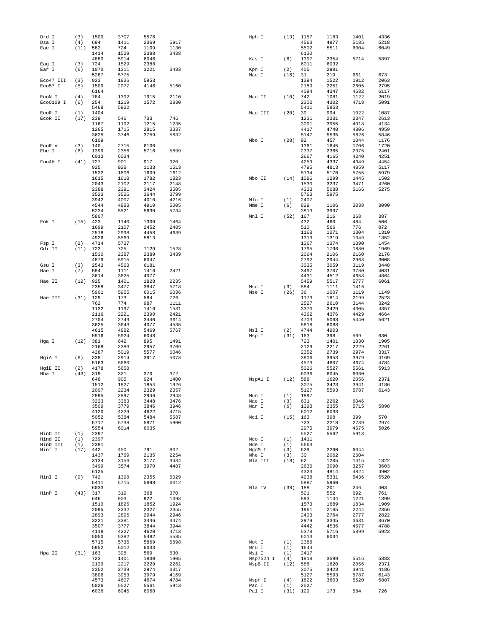| Drd I<br>Dsa I      | (3)<br>(4) | 1500<br>694  | 3707<br>1411 | 5576<br>2369 | 5917         | Hph I          |             | $(13)$ 1157<br>4563 | 1183<br>4977 | 1401<br>5185 | 4336<br>5218 |
|---------------------|------------|--------------|--------------|--------------|--------------|----------------|-------------|---------------------|--------------|--------------|--------------|
| Eae I               | (11)       | 582          | 724          | 1109         | 1130         |                |             | 5502                | 5511         | 6004         | 6049         |
|                     |            | 1414         | 1529         | 2388         | 3438         |                |             | 6130                |              |              |              |
| Eag I               | (3)        | 4880<br>724  | 5914<br>1529 | 6046<br>2388 |              | Kas I          | (6)         | 1397<br>6011        | 2354<br>6032 | 5714         | 5897         |
| Ear I               | (6)        | 1070         | 1311         | 3221         | 3483         | Kpn I          | (2)         | 405                 | 2981         |              |              |
|                     |            | 5287         | 5775         |              |              | Mae I          | (16)        | 31                  | 219          | 661          | 673          |
| Eco47 III           | (3)        | 923          | 1826         | 5953         |              |                |             | 1394                | 1522         | 1912         | 2063         |
| Eco57 I             | (5)        | 1509         | 2077         | 4146         | 5160         |                |             | 2189                | 2251         | 2605         | 2795         |
|                     |            | 6164         |              |              |              |                |             | 4094                | 4347         | 4682         | 6117         |
| ECON I<br>Eco0109 I | (4)<br>(6) | 784<br>254   | 1392<br>1219 | 1915<br>1572 | 2110<br>2830 | Mae II         | (10)        | 742<br>2302         | 1081<br>4302 | 1122<br>4718 | 2019<br>5091 |
|                     |            | 5468         | 5922         |              |              |                |             | 5411                | 5853         |              |              |
| EcoR I              | (1)        | 1404         |              |              |              | Mae III        | (20)        | 39                  | 994          | 1022         | 1087         |
| ECOR II             | (17)       | 239          | 546          | 733          | 746          |                |             | 1231                | 2331         | 2347         | 2613         |
|                     |            | 1167         | 1192         | 1215         | 1235         |                |             | 3091                | 3955         | 4018         | 4134         |
|                     |            | 1265         | 1715         | 2815         | 3337         |                |             | 4417                | 4748         | 4806         | 4959         |
|                     |            | 3625<br>6109 | 3746         | 3759         | 5832         | Mbo I          | (28)        | 5147<br>92          | 5535<br>457  | 5826<br>1044 | 5846<br>1176 |
| ECOR V              | (3)        | 140          | 2715         | 6100         |              |                |             | 1361                | 1645         | 1706         | 1720         |
| Ehe I               | (6)        | 1399         | 2356         | 5716         | 5899         |                |             | 2337                | 2365         | 2375         | 2401         |
|                     |            | 6013         | 6034         |              |              |                |             | 2667                | 4165         | 4240         | 4251         |
| Fnu4H I             | (41)       | 727          | 901          | 917          | 920          |                |             | 4259                | 4337         | 4349         | 4454         |
|                     |            | 925          | 928          | 1133         | 1513         |                |             | 4795                | 4813         | 4859         | 5117         |
|                     |            | 1532<br>1615 | 1606<br>1618 | 1609<br>1782 | 1612<br>1823 | Mbo II         | (14)        | 5134<br>1086        | 5170<br>1299 | 5755<br>1445 | 5979<br>1502 |
|                     |            | 2043         | 2102         | 2117         | 2148         |                |             | 1530                | 3237         | 3471         | 4260         |
|                     |            | 2388         | 2391         | 3424         | 3505         |                |             | 4333                | 5088         | 5166         | 5275         |
|                     |            | 3523         | 3526         | 3644         | 3799         |                |             | 5763                | 5975         |              |              |
|                     |            | 3942         | 4007         | 4010         | 4216         | Mlu I          | (1)         | 2407                |              |              |              |
|                     |            | 4544         | 4883         | 4910         | 5005         | Mme I          | (6)         | 829                 | 1106         | 3038         | 3090         |
|                     |            | 5234<br>5807 | 5521         | 5630         | 5734         | Mnl I          | (52)        | 3813<br>167         | 3997<br>216  | 368          | 387          |
| Fok I               | (15)       | 423          | 1140         | 1300         | 1464         |                |             | 432                 | 460          | 484          | 506          |
|                     |            | 1699         | 2107         | 2452         | 2485         |                |             | 510                 | 566          | 776          | 872          |
|                     |            | 2518         | 2998         | 4458         | 4639         |                |             | 1168                | 1271         | 1304         | 1310         |
|                     |            | 4926         | 5569         | 5813         |              |                |             | 1313                | 1319         | 1349         | 1352         |
| Fsp I               | (2)        | 4714         | 5737         |              |              |                |             | 1367                | 1374         | 1390         | 1454         |
| Gdi II              | (11)       | 723<br>1530  | 725<br>2387  | 1129<br>2389 | 1528<br>3439 |                |             | 1795<br>2064        | 1796<br>2106 | 1880<br>2160 | 1969<br>2176 |
|                     |            | 4879         | 5915         | 6047         |              |                |             | 2792                | 2944         | 2963         | 3008         |
| Gsu I               | (3)        | 2543         | 4563         | 6181         |              |                |             | 3035                | 3059         | 3119         | 3448         |
| Hae I               | (7)        | 584          | 1111         | 1416         | 2421         |                |             | 3497                | 3707         | 3780         | 4031         |
|                     |            | 3614         | 3625         | 4077         |              |                |             | 4431                | 4512         | 4658         | 4864         |
| Hae II              | (12)       | 925          | 1401         | 1828         | 2235         |                |             | 5459                | 5517         | 5777         | 6061         |
|                     |            | 2358<br>5901 | 3477<br>5955 | 3847<br>6015 | 5718<br>6036 | Msc I<br>Mse I | (3)<br>(26) | 584<br>36           | 1111<br>1007 | 1416<br>1119 | 1149         |
| Hae III             | (31)       | 129          | 173          | 584          | 726          |                |             | 1173                | 1814         | 2199         | 2523         |
|                     |            | 762          | 774          | 987          | 1111         |                |             | 2527                | 2610         | 3144         | 3242         |
|                     |            | 1132         | 1197         | 1416         | 1531         |                |             | 3370                | 3429         | 4305         | 4357         |
|                     |            | 2116         | 2221         | 2390         | 2421         |                |             | 4362                | 4376         | 4429         | 4664         |
|                     |            | 2704         | 2749         | 3440         | 3614         |                |             | 4703                | 5068         | 5440         | 5621         |
|                     |            | 3625<br>4615 | 3643<br>4882 | 4077<br>5469 | 4535<br>5767 | Msl I          | (2)         | 5818<br>4744        | 6088<br>4903 |              |              |
|                     |            | 5916         | 5924         | 6048         |              | Msp I          | (31)        | 163                 | 398          | 569          | 630          |
| Hga I               | (12)       | 381          | 642          | 895          | 1491         |                |             | 723                 | 1401         | 1830         | 1905         |
|                     |            | 2168         | 2383         | 2957         | 3709         |                |             | 2129                | 2217         | 2229         | 2261         |
|                     |            | 4287         | 5019         | 5577         | 6046         |                |             | 2352                | 2739         | 2974         | 3317         |
| HgiA I              | (6)        | 338<br>5163  | 2914<br>5660 | 3917         | 5078         |                |             | 3806<br>4573        | 3953<br>4607 | 3979<br>4674 | 4169<br>4784 |
| HgiE II             | (2)        | 4178         | 5658         |              |              |                |             | 5026                | 5527         | 5561         | 5913         |
| Hha I               | (43)       | 319          | 321          | 370          | 372          |                |             | 6036                | 6045         | 6060         |              |
|                     |            | 648          | 905          | 924          | 1400         | MspAl I        | (12)        | 588                 | 1620         | 2056         | 2371         |
|                     |            | 1512         | 1827         | 1854         | 1926         |                |             | 3075                | 3423         | 3941         | 4186         |
|                     |            | 2097<br>2895 | 2234<br>2897 | 2329<br>2946 | 2357<br>2948 | Mun I          | (1)         | 5127<br>1897        | 5593         | 5787         | 6143         |
|                     |            | 3223         | 3383         | 3448         | 3476         | Nae I          | (3)         | 631                 | 2262         | 6046         |              |
|                     |            | 3509         | 3779         | 3846         | 3946         | Nar I          | (6)         | 1398                | 2355         | 5715         | 5898         |
|                     |            | 4120         | 4229         | 4622         | 4715         |                |             | 6012                | 6033         |              |              |
|                     |            | 5052         | 5384         | 5484         | 5587         | Nci I          | (15)        | 163                 | 398          | 399          | 570          |
|                     |            | 5717         | 5738         | 5871         | 5900         |                |             | 723                 | 2218         | 2739         | 2974         |
| HinC II             | (1)        | 5954<br>2397 | 6014         | 6035         |              |                |             | 2975<br>5527        | 3979<br>5562 | 4675<br>5913 | 5026         |
| Hind II             | (1)        | 2397         |              |              |              | Nco I          | (1)         | 1411                |              |              |              |
| HinD III            | (1)        | 2381         |              |              |              | Nde I          | (1)         | 5663                |              |              |              |
| Hinf I              | (17)       | 442          | 450          | 791          | 802          | NgoM I         | (3)         | 629                 | 2260         | 6044         |              |
|                     |            | 1437         | 1769         | 2135         | 2254         | Nhe I          | (3)         | 30                  | 2062         | 2604         |              |
|                     |            | 3134<br>3499 | 3156<br>3574 | 3177<br>3970 | 3434<br>4487 | Nla III        | (18)        | 62<br>2636          | 1205<br>3090 | 1415<br>3257 | 1822<br>3603 |
|                     |            | 6125         |              |              |              |                |             | 4323                | 4814         | 4824         | 4902         |
| HinI I              | (9)        | 742          | 1398         | 2355         | 5029         |                |             | 4938                | 5331         | 5436         | 5520         |
|                     |            | 5411         | 5715         | 5898         | 6012         |                |             | 5887                | 5960         |              |              |
|                     |            | 6033         |              |              |              | Nla IV         | $(38)$ 188  |                     | 201          | 246          | 403          |
| HinP I              | (43)       | 317          | 319          | 368          | 370          |                |             | 521                 | 552          | 692          | 761          |
|                     |            | 646<br>1510  | 903<br>1825  | 922<br>1852  | 1398<br>1924 |                |             | 893<br>1573         | 1144<br>1689 | 1221<br>1834 | 1399<br>1909 |
|                     |            | 2095         | 2232         | 2327         | 2355         |                |             | 1961                | 2165         | 2244         | 2356         |
|                     |            | 2893         | 2895         | 2944         | 2946         |                |             | 2403                | 2764         | 2777         | 2822         |
|                     |            | 3221         | 3381         | 3446         | 3474         |                |             | 2979                | 3345         | 3631         | 3670         |
|                     |            | 3507         | 3777         | 3844         | 3944         |                |             | 4442                | 4536         | 4577         | 4788         |
|                     |            | 4118         | 4227         | 4620         | 4713         |                |             | 5378                | 5716         | 5899         | 5923         |
|                     |            | 5050<br>5715 | 5382<br>5736 | 5482<br>5869 | 5585<br>5898 | Not I          | (1)         | 6013<br>2388        | 6034         |              |              |
|                     |            | 5952         | 6012         | 6033         |              | Nru I          | (1)         | 1644                |              |              |              |
| Hpa II              | (31)       | 163          | 398          | 569          | 630          | Nsi I          | (1)         | 2417                |              |              |              |
|                     |            | 723          | 1401         | 1830         | 1905         | Nsp7524 I      | (4)         | 1818                | 3599         | 5516         | 5883         |
|                     |            | 2129         | 2217         | 2229         | 2261         | NspB II        | $(12)$ 588  |                     | 1620         | 2056         | 2371         |
|                     |            | 2352<br>3806 | 2739<br>3953 | 2974<br>3979 | 3317<br>4169 |                |             | 3075<br>5127        | 3423<br>5593 | 3941<br>5787 | 4186<br>6143 |
|                     |            | 4573         | 4607         | 4674         | 4784         | NspH I         | (4)         | 1822                | 3603         | 5520         | 5887         |
|                     |            | 5026         | 5527         | 5561         | 5913         | Pac I          | (1)         | 2527                |              |              |              |
|                     |            | 6036         | 6045         | 6060         |              | Pal I          | (31)        | 129                 | 173          | 584          | 726          |